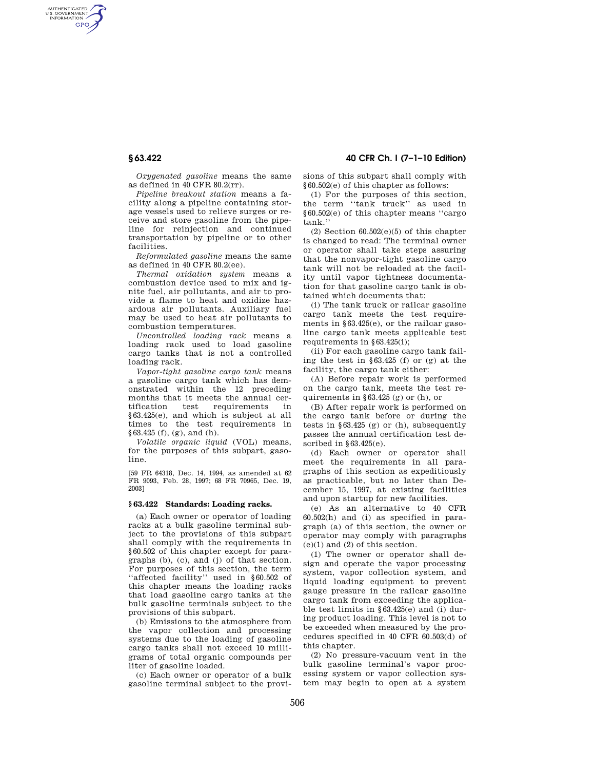AUTHENTICATED<br>U.S. GOVERNMENT<br>INFORMATION **GPO** 

> *Oxygenated gasoline* means the same as defined in 40 CFR 80.2(rr).

> *Pipeline breakout station* means a facility along a pipeline containing storage vessels used to relieve surges or receive and store gasoline from the pipeline for reinjection and continued transportation by pipeline or to other facilities.

> *Reformulated gasoline* means the same as defined in 40 CFR 80.2(ee).

> *Thermal oxidation system* means a combustion device used to mix and ignite fuel, air pollutants, and air to provide a flame to heat and oxidize hazardous air pollutants. Auxiliary fuel may be used to heat air pollutants to combustion temperatures.

> *Uncontrolled loading rack* means a loading rack used to load gasoline cargo tanks that is not a controlled loading rack.

> *Vapor-tight gasoline cargo tank* means a gasoline cargo tank which has demonstrated within the 12 preceding months that it meets the annual cer-<br>tification test requirements in tification test requirements in §63.425(e), and which is subject at all times to the test requirements in §63.425 (f), (g), and (h).

*Volatile organic liquid* (VOL) means, for the purposes of this subpart, gasoline.

[59 FR 64318, Dec. 14, 1994, as amended at 62 FR 9093, Feb. 28, 1997; 68 FR 70965, Dec. 19, 2003]

#### **§ 63.422 Standards: Loading racks.**

(a) Each owner or operator of loading racks at a bulk gasoline terminal subject to the provisions of this subpart shall comply with the requirements in §60.502 of this chapter except for paragraphs (b), (c), and (j) of that section. For purposes of this section, the term ''affected facility'' used in §60.502 of this chapter means the loading racks that load gasoline cargo tanks at the bulk gasoline terminals subject to the provisions of this subpart.

(b) Emissions to the atmosphere from the vapor collection and processing systems due to the loading of gasoline cargo tanks shall not exceed 10 milligrams of total organic compounds per liter of gasoline loaded.

(c) Each owner or operator of a bulk gasoline terminal subject to the provi-

# **§ 63.422 40 CFR Ch. I (7–1–10 Edition)**

sions of this subpart shall comply with §60.502(e) of this chapter as follows:

(1) For the purposes of this section, the term "tank truck" as used in §60.502(e) of this chapter means ''cargo tank.''

 $(2)$  Section  $60.502(e)(5)$  of this chapter is changed to read: The terminal owner or operator shall take steps assuring that the nonvapor-tight gasoline cargo tank will not be reloaded at the facility until vapor tightness documentation for that gasoline cargo tank is obtained which documents that:

(i) The tank truck or railcar gasoline cargo tank meets the test requirements in §63.425(e), or the railcar gasoline cargo tank meets applicable test requirements in §63.425(i);

(ii) For each gasoline cargo tank failing the test in §63.425 (f) or (g) at the facility, the cargo tank either:

(A) Before repair work is performed on the cargo tank, meets the test requirements in  $§63.425$  (g) or (h), or

(B) After repair work is performed on the cargo tank before or during the tests in  $\S 63.425$  (g) or (h), subsequently passes the annual certification test described in  $§63.425(e)$ .

(d) Each owner or operator shall meet the requirements in all paragraphs of this section as expeditiously as practicable, but no later than December 15, 1997, at existing facilities and upon startup for new facilities.

(e) As an alternative to 40 CFR 60.502(h) and (i) as specified in paragraph (a) of this section, the owner or operator may comply with paragraphs (e)(1) and (2) of this section.

(1) The owner or operator shall design and operate the vapor processing system, vapor collection system, and liquid loading equipment to prevent gauge pressure in the railcar gasoline cargo tank from exceeding the applicable test limits in §63.425(e) and (i) during product loading. This level is not to be exceeded when measured by the procedures specified in 40 CFR 60.503(d) of this chapter.

(2) No pressure-vacuum vent in the bulk gasoline terminal's vapor processing system or vapor collection system may begin to open at a system